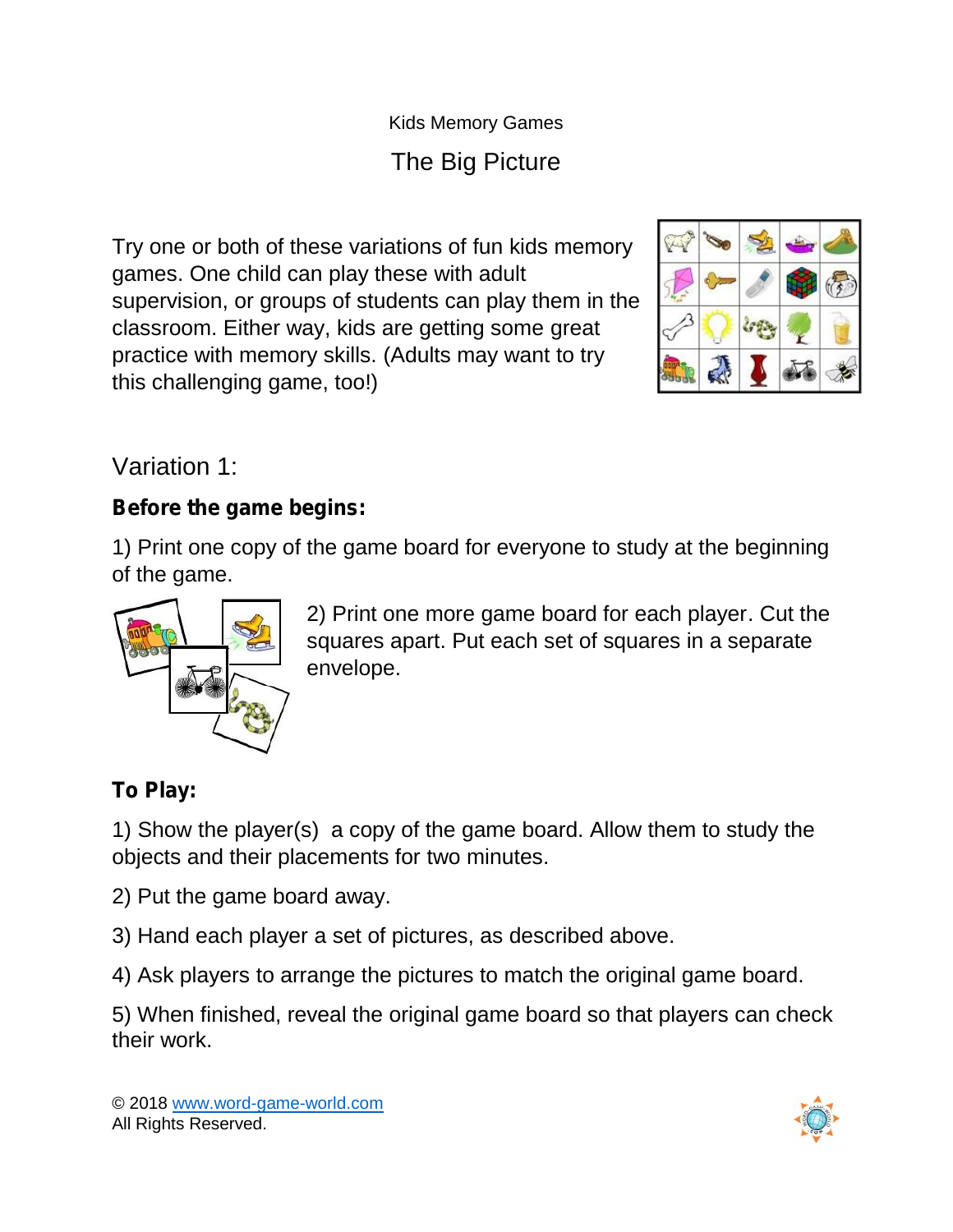Kids Memory Games

# The Big Picture

Try one or both of these variations of fun kids memory games. One child can play these with adult supervision, or groups of students can play them in the classroom. Either way, kids are getting some great practice with memory skills. (Adults may want to try this challenging game, too!)



Variation 1:

#### **Before the game begins:**

1) Print one copy of the game board for everyone to study at the beginning of the game.



2) Print one more game board for each player. Cut the squares apart. Put each set of squares in a separate envelope.

## **To Play:**

1) Show the player(s) a copy of the game board. Allow them to study the objects and their placements for two minutes.

2) Put the game board away.

3) Hand each player a set of pictures, as described above.

4) Ask players to arrange the pictures to match the original game board.

5) When finished, reveal the original game board so that players can check their work.

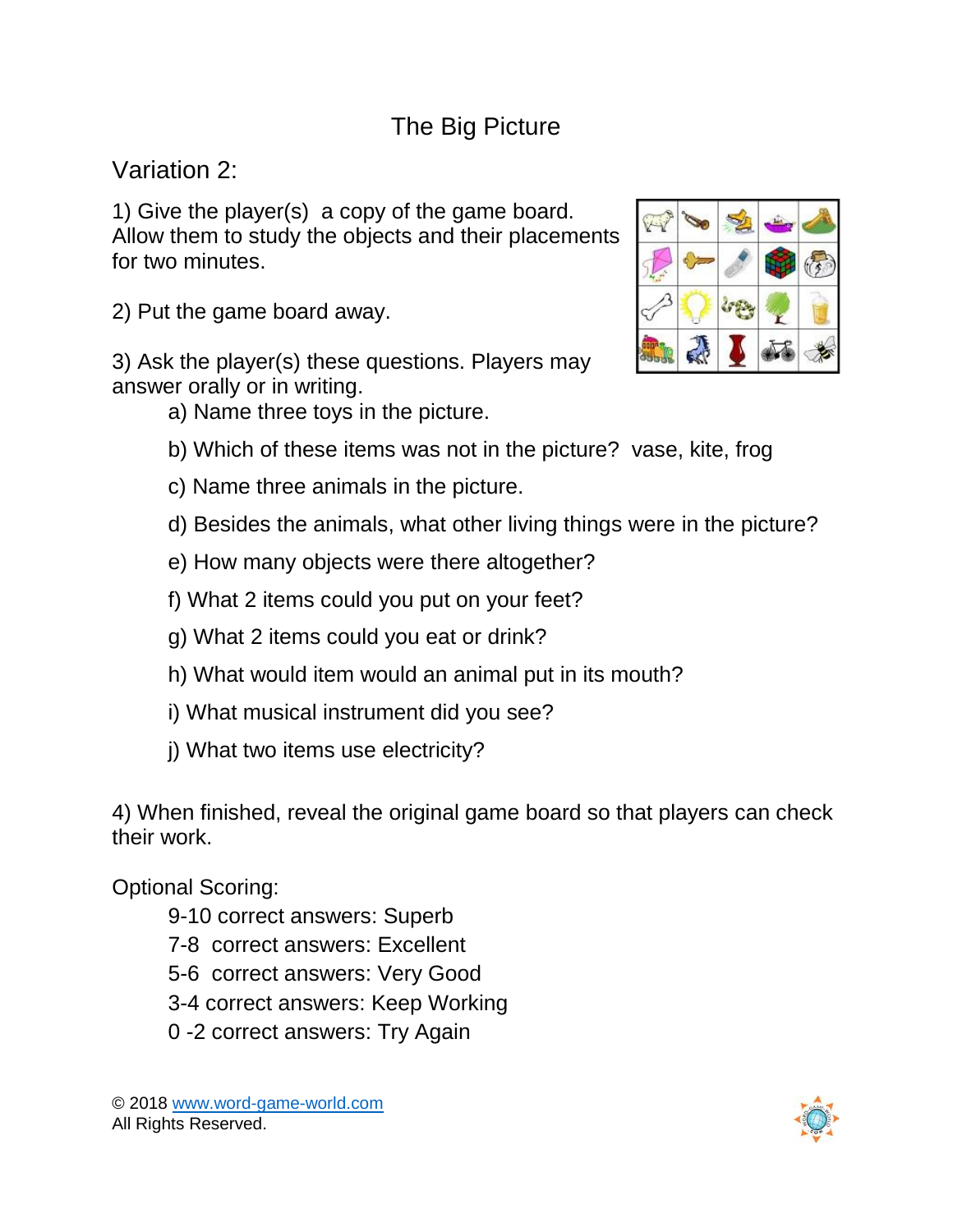## The Big Picture

Variation 2:

1) Give the player(s) a copy of the game board. Allow them to study the objects and their placements for two minutes.

2) Put the game board away.

3) Ask the player(s) these questions. Players may answer orally or in writing.

a) Name three toys in the picture.

- b) Which of these items was not in the picture? vase, kite, frog
- c) Name three animals in the picture.
- d) Besides the animals, what other living things were in the picture?
- e) How many objects were there altogether?
- f) What 2 items could you put on your feet?
- g) What 2 items could you eat or drink?
- h) What would item would an animal put in its mouth?
- i) What musical instrument did you see?
- j) What two items use electricity?

4) When finished, reveal the original game board so that players can check their work.

Optional Scoring:

- 9-10 correct answers: Superb
- 7-8 correct answers: Excellent
- 5-6 correct answers: Very Good
- 3-4 correct answers: Keep Working
- 0 -2 correct answers: Try Again